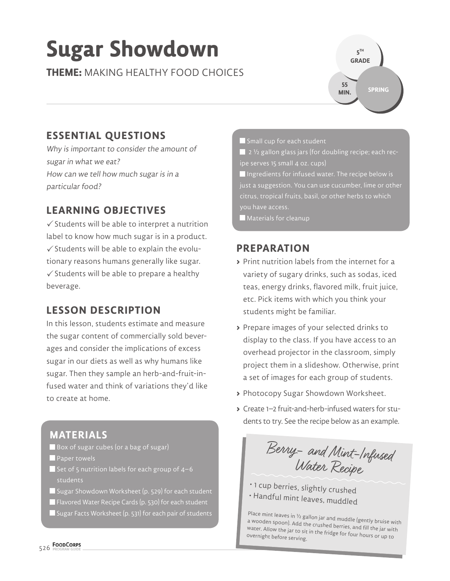# **Sugar Showdown**

**THEME:** MAKING HEALTHY FOOD CHOICES



# **ESSENTIAL QUESTIONS**

Why is important to consider the amount of sugar in what we eat? How can we tell how much sugar is in a particular food?

# **LEARNING OBJECTIVES**

 $\checkmark$  Students will be able to interpret a nutrition label to know how much sugar is in a product.  $\checkmark$  Students will be able to explain the evolutionary reasons humans generally like sugar.  $\checkmark$  Students will be able to prepare a healthy beverage.

# **LESSON DESCRIPTION**

In this lesson, students estimate and measure the sugar content of commercially sold beverages and consider the implications of excess sugar in our diets as well as why humans like sugar. Then they sample an herb-and-fruit-infused water and think of variations they'd like to create at home.

# **MATERIALS**

- Box of sugar cubes (or a bag of sugar)
- **Paper towels**
- $\blacksquare$  Set of 5 nutrition labels for each group of 4–6 students
- Sugar Showdown Worksheet (p. 529) for each student
- Flavored Water Recipe Cards (p. 530) for each student
- Sugar Facts Worksheet (p. 531) for each pair of students

Small cup for each student

 $\blacksquare$  2  $\frac{1}{2}$  gallon glass jars (for doubling recipe; each recipe serves 15 small 4 oz. cups)

 $\blacksquare$  Ingredients for infused water. The recipe below is just a suggestion. You can use cucumber, lime or other citrus, tropical fruits, basil, or other herbs to which you have access.

Materials for cleanup

### **PREPARATION**

- **>** Print nutrition labels from the internet for a variety of sugary drinks, such as sodas, iced teas, energy drinks, flavored milk, fruit juice, etc. Pick items with which you think your students might be familiar.
- **>** Prepare images of your selected drinks to display to the class. If you have access to an overhead projector in the classroom, simply project them in a slideshow. Otherwise, print a set of images for each group of students.
- **>** Photocopy Sugar Showdown Worksheet.
- **>** Create 1–2 fruit-and-herb-infused waters for students to try. See the recipe below as an example.

Berry - and Mint-Infused Water Recipe

• 1 cup berries, slightly crushed • Handful mint leaves, muddled

Place mint leaves in  $\frac{1}{2}$  gallon jar and muddle (gently bruise with a wooden spoon). Add the crushed berries, and fill the jar with water. Allow the jar to sit in the fridge for four hours or up to overnight before s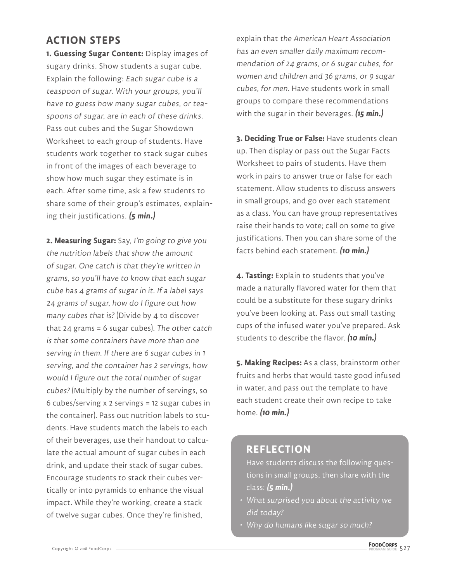### **ACTION STEPS**

**1. Guessing Sugar Content:** Display images of sugary drinks. Show students a sugar cube. Explain the following: Each sugar cube is a teaspoon of sugar. With your groups, you'll have to guess how many sugar cubes, or teaspoons of sugar, are in each of these drinks. Pass out cubes and the Sugar Showdown Worksheet to each group of students. Have students work together to stack sugar cubes in front of the images of each beverage to show how much sugar they estimate is in each. After some time, ask a few students to share some of their group's estimates, explaining their justifications. **(5 min.)**

**2. Measuring Sugar:** Say, I'm going to give you the nutrition labels that show the amount of sugar. One catch is that they're written in grams, so you'll have to know that each sugar cube has 4 grams of sugar in it. If a label says 24 grams of sugar, how do I figure out how many cubes that is? (Divide by 4 to discover that 24 grams = 6 sugar cubes). The other catch is that some containers have more than one serving in them. If there are 6 sugar cubes in 1 serving, and the container has 2 servings, how would I figure out the total number of sugar cubes? (Multiply by the number of servings, so 6 cubes/serving x 2 servings = 12 sugar cubes in the container). Pass out nutrition labels to students. Have students match the labels to each of their beverages, use their handout to calculate the actual amount of sugar cubes in each drink, and update their stack of sugar cubes. Encourage students to stack their cubes vertically or into pyramids to enhance the visual impact. While they're working, create a stack of twelve sugar cubes. Once they're finished,

explain that the American Heart Association has an even smaller daily maximum recommendation of 24 grams, or 6 sugar cubes, for women and children and 36 grams, or 9 sugar cubes, for men. Have students work in small groups to compare these recommendations with the sugar in their beverages. **(15 min.)**

**3. Deciding True or False:** Have students clean up. Then display or pass out the Sugar Facts Worksheet to pairs of students. Have them work in pairs to answer true or false for each statement. Allow students to discuss answers in small groups, and go over each statement as a class. You can have group representatives raise their hands to vote; call on some to give justifications. Then you can share some of the facts behind each statement. **(10 min.)**

**4. Tasting:** Explain to students that you've made a naturally flavored water for them that could be a substitute for these sugary drinks you've been looking at. Pass out small tasting cups of the infused water you've prepared. Ask students to describe the flavor. **(10 min.)**

**5. Making Recipes:** As a class, brainstorm other fruits and herbs that would taste good infused in water, and pass out the template to have each student create their own recipe to take home. **(10 min.)**

### **REFLECTION**

Have students discuss the following questions in small groups, then share with the class: **(5 min.)**

- What surprised you about the activity we did today?
- Why do humans like sugar so much?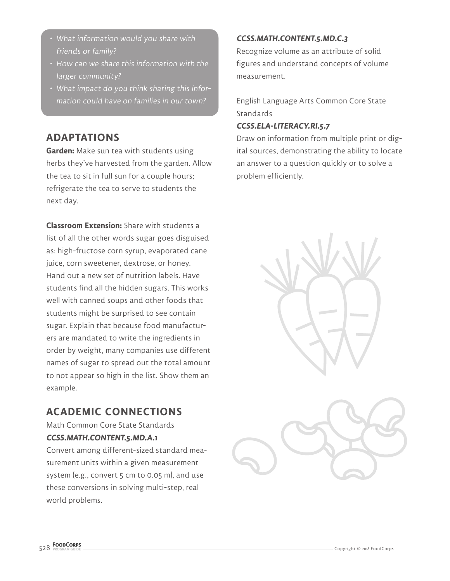- What information would you share with friends or family?
- How can we share this information with the larger community?
- What impact do you think sharing this information could have on families in our town?

## **ADAPTATIONS**

**Garden:** Make sun tea with students using herbs they've harvested from the garden. Allow the tea to sit in full sun for a couple hours; refrigerate the tea to serve to students the next day.

**Classroom Extension:** Share with students a list of all the other words sugar goes disguised as: high-fructose corn syrup, evaporated cane juice, corn sweetener, dextrose, or honey. Hand out a new set of nutrition labels. Have students find all the hidden sugars. This works well with canned soups and other foods that students might be surprised to see contain sugar. Explain that because food manufacturers are mandated to write the ingredients in order by weight, many companies use different names of sugar to spread out the total amount to not appear so high in the list. Show them an example.

### **ACADEMIC CONNECTIONS**

Math Common Core State Standards **CCSS.MATH.CONTENT.5.MD.A.1**

Convert among different-sized standard measurement units within a given measurement system (e.g., convert 5 cm to 0.05 m), and use these conversions in solving multi-step, real world problems.

### **CCSS.MATH.CONTENT.5.MD.C.3**

Recognize volume as an attribute of solid figures and understand concepts of volume measurement.

English Language Arts Common Core State Standards

### **CCSS.ELA-LITERACY.RI.5.7**

Draw on information from multiple print or digital sources, demonstrating the ability to locate an answer to a question quickly or to solve a problem efficiently.



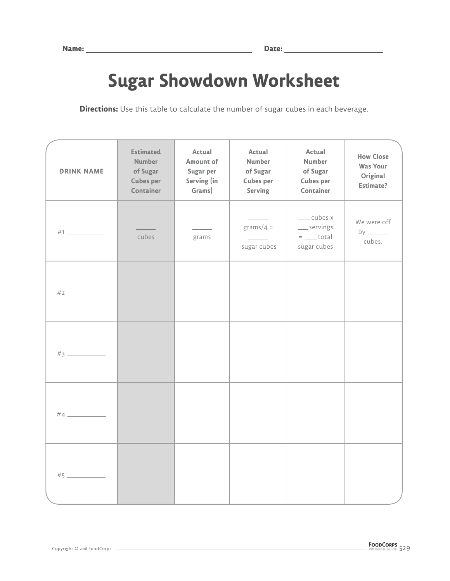# **Sugar Showdown Worksheet**

**Directions:** Use this table to calculate the number of sugar cubes in each beverage.

| <b>DRINK NAME</b> | <b>Estimated</b><br><b>Number</b><br>of Sugar<br><b>Cubes per</b><br>Container | Actual<br><b>Amount of</b><br>Sugar per<br>Serving (in<br>Grams) | Actual<br><b>Number</b><br>of Sugar<br><b>Cubes per</b><br><b>Serving</b> | Actual<br><b>Number</b><br>of Sugar<br><b>Cubes per</b><br>Container | <b>How Close</b><br><b>Was Your</b><br>Original<br><b>Estimate?</b>          |
|-------------------|--------------------------------------------------------------------------------|------------------------------------------------------------------|---------------------------------------------------------------------------|----------------------------------------------------------------------|------------------------------------------------------------------------------|
|                   | cubes                                                                          | grams                                                            | grams/ $4 =$<br>sugar cubes                                               | ___cubes x<br>__servings<br>$=$ ________ total<br>sugar cubes        | We were off<br>by $\frac{1}{\sqrt{1-\frac{1}{2}}\cdot\frac{1}{2}}$<br>cubes. |
|                   |                                                                                |                                                                  |                                                                           |                                                                      |                                                                              |
|                   |                                                                                |                                                                  |                                                                           |                                                                      |                                                                              |
|                   |                                                                                |                                                                  |                                                                           |                                                                      |                                                                              |
| $\#5$             |                                                                                |                                                                  |                                                                           |                                                                      |                                                                              |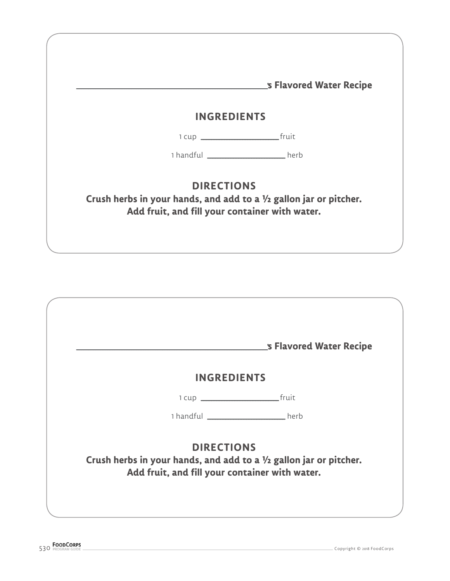| <b>INGREDIENTS</b> |                                                                     |                                                                    |  |  |
|--------------------|---------------------------------------------------------------------|--------------------------------------------------------------------|--|--|
|                    |                                                                     |                                                                    |  |  |
|                    |                                                                     |                                                                    |  |  |
|                    |                                                                     | 1 handful _______________________herb                              |  |  |
|                    | <b>DIRECTIONS</b><br>Add fruit, and fill your container with water. | Crush herbs in your hands, and add to a 1/2 gallon jar or pitcher. |  |  |

|                                                                                                                                           | _s Flavored Water Recipe              |  |  |  |
|-------------------------------------------------------------------------------------------------------------------------------------------|---------------------------------------|--|--|--|
| <b>INGREDIENTS</b>                                                                                                                        |                                       |  |  |  |
|                                                                                                                                           |                                       |  |  |  |
|                                                                                                                                           | 1 handful ______________________ herb |  |  |  |
| <b>DIRECTIONS</b><br>Crush herbs in your hands, and add to a 1/2 gallon jar or pitcher.<br>Add fruit, and fill your container with water. |                                       |  |  |  |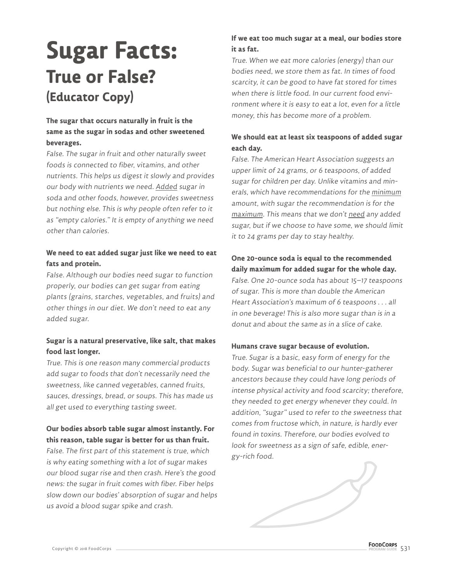# **Sugar Facts: True or False? (Educator Copy)**

### **The sugar that occurs naturally in fruit is the same as the sugar in sodas and other sweetened beverages.**

False. The sugar in fruit and other naturally sweet foods is connected to fiber, vitamins, and other nutrients. This helps us digest it slowly and provides our body with nutrients we need. Added sugar in soda and other foods, however, provides sweetness but nothing else. This is why people often refer to it as "empty calories." It is empty of anything we need other than calories.

#### **We need to eat added sugar just like we need to eat fats and protein.**

False. Although our bodies need sugar to function properly, our bodies can get sugar from eating plants (grains, starches, vegetables, and fruits) and other things in our diet. We don't need to eat any added sugar.

#### **Sugar is a natural preservative, like salt, that makes food last longer.**

True. This is one reason many commercial products add sugar to foods that don't necessarily need the sweetness, like canned vegetables, canned fruits, sauces, dressings, bread, or soups. This has made us all get used to everything tasting sweet.

### **Our bodies absorb table sugar almost instantly. For this reason, table sugar is better for us than fruit.**

False. The first part of this statement is true, which is why eating something with a lot of sugar makes our blood sugar rise and then crash. Here's the good news: the sugar in fruit comes with fiber. Fiber helps slow down our bodies' absorption of sugar and helps us avoid a blood sugar spike and crash.

### **If we eat too much sugar at a meal, our bodies store it as fat.**

True. When we eat more calories (energy) than our bodies need, we store them as fat. In times of food scarcity, it can be good to have fat stored for times when there is little food. In our current food environment where it is easy to eat a lot, even for a little money, this has become more of a problem.

### **We should eat at least six teaspoons of added sugar each day.**

False. The American Heart Association suggests an upper limit of 24 grams, or 6 teaspoons, of added sugar for children per day. Unlike vitamins and minerals, which have recommendations for the minimum amount, with sugar the recommendation is for the maximum. This means that we don't need any added sugar, but if we choose to have some, we should limit it to 24 grams per day to stay healthy.

### **One 20-ounce soda is equal to the recommended daily maximum for added sugar for the whole day.**

False. One 20-ounce soda has about 15–17 teaspoons of sugar. This is more than double the American Heart Association's maximum of 6 teaspoons . . . all in one beverage! This is also more sugar than is in a donut and about the same as in a slice of cake.

#### **Humans crave sugar because of evolution.**

True. Sugar is a basic, easy form of energy for the body. Sugar was beneficial to our hunter-gatherer ancestors because they could have long periods of intense physical activity and food scarcity; therefore, they needed to get energy whenever they could. In addition, "sugar" used to refer to the sweetness that comes from fructose which, in nature, is hardly ever found in toxins. Therefore, our bodies evolved to look for sweetness as a sign of safe, edible, energy-rich food.